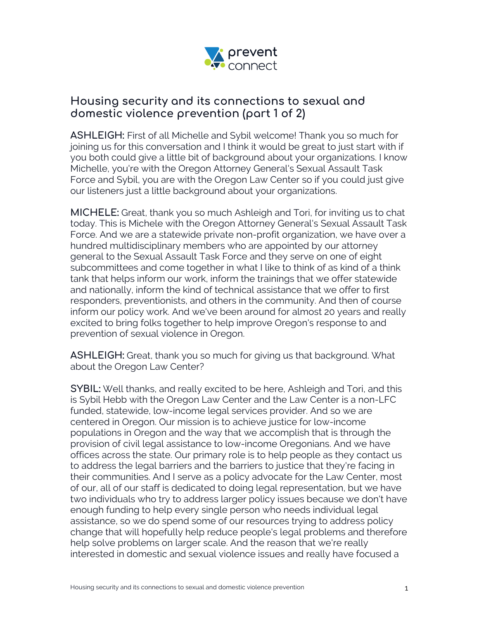

## **Housing security and its connections to sexual and domestic violence prevention (part 1 of 2)**

**ASHLEIGH:** First of all Michelle and Sybil welcome! Thank you so much for joining us for this conversation and I think it would be great to just start with if you both could give a little bit of background about your organizations. I know Michelle, you're with the Oregon Attorney General's Sexual Assault Task Force and Sybil, you are with the Oregon Law Center so if you could just give our listeners just a little background about your organizations.

**MICHELE:** Great, thank you so much Ashleigh and Tori, for inviting us to chat today. This is Michele with the Oregon Attorney General's Sexual Assault Task Force. And we are a statewide private non-profit organization, we have over a hundred multidisciplinary members who are appointed by our attorney general to the Sexual Assault Task Force and they serve on one of eight subcommittees and come together in what I like to think of as kind of a think tank that helps inform our work, inform the trainings that we offer statewide and nationally, inform the kind of technical assistance that we offer to first responders, preventionists, and others in the community. And then of course inform our policy work. And we've been around for almost 20 years and really excited to bring folks together to help improve Oregon's response to and prevention of sexual violence in Oregon.

**ASHLEIGH:** Great, thank you so much for giving us that background. What about the Oregon Law Center?

**SYBIL:** Well thanks, and really excited to be here, Ashleigh and Tori, and this is Sybil Hebb with the Oregon Law Center and the Law Center is a non-LFC funded, statewide, low-income legal services provider. And so we are centered in Oregon. Our mission is to achieve justice for low-income populations in Oregon and the way that we accomplish that is through the provision of civil legal assistance to low-income Oregonians. And we have offices across the state. Our primary role is to help people as they contact us to address the legal barriers and the barriers to justice that they're facing in their communities. And I serve as a policy advocate for the Law Center, most of our, all of our staff is dedicated to doing legal representation, but we have two individuals who try to address larger policy issues because we don't have enough funding to help every single person who needs individual legal assistance, so we do spend some of our resources trying to address policy change that will hopefully help reduce people's legal problems and therefore help solve problems on larger scale. And the reason that we're really interested in domestic and sexual violence issues and really have focused a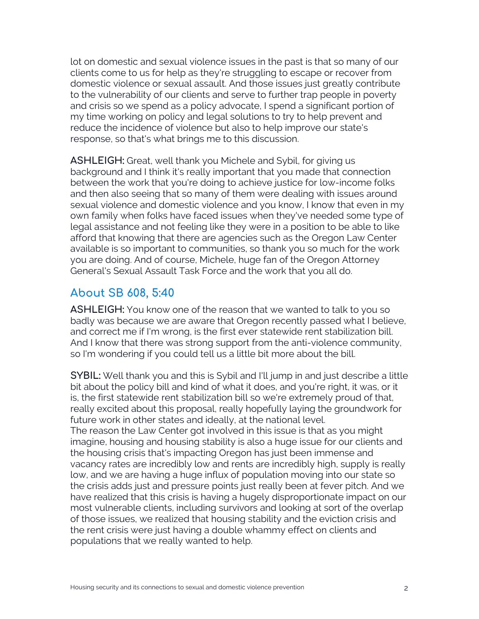lot on domestic and sexual violence issues in the past is that so many of our clients come to us for help as they're struggling to escape or recover from domestic violence or sexual assault. And those issues just greatly contribute to the vulnerability of our clients and serve to further trap people in poverty and crisis so we spend as a policy advocate, I spend a significant portion of my time working on policy and legal solutions to try to help prevent and reduce the incidence of violence but also to help improve our state's response, so that's what brings me to this discussion.

**ASHLEIGH:** Great, well thank you Michele and Sybil, for giving us background and I think it's really important that you made that connection between the work that you're doing to achieve justice for low-income folks and then also seeing that so many of them were dealing with issues around sexual violence and domestic violence and you know, I know that even in my own family when folks have faced issues when they've needed some type of legal assistance and not feeling like they were in a position to be able to like afford that knowing that there are agencies such as the Oregon Law Center available is so important to communities, so thank you so much for the work you are doing. And of course, Michele, huge fan of the Oregon Attorney General's Sexual Assault Task Force and the work that you all do.

## **About SB 608, 5:40**

**ASHLEIGH:** You know one of the reason that we wanted to talk to you so badly was because we are aware that Oregon recently passed what I believe, and correct me if I'm wrong, is the first ever statewide rent stabilization bill. And I know that there was strong support from the anti-violence community, so I'm wondering if you could tell us a little bit more about the bill.

**SYBIL:** Well thank you and this is Sybil and I'll jump in and just describe a little bit about the policy bill and kind of what it does, and you're right, it was, or it is, the first statewide rent stabilization bill so we're extremely proud of that, really excited about this proposal, really hopefully laying the groundwork for future work in other states and ideally, at the national level.

The reason the Law Center got involved in this issue is that as you might imagine, housing and housing stability is also a huge issue for our clients and the housing crisis that's impacting Oregon has just been immense and vacancy rates are incredibly low and rents are incredibly high, supply is really low, and we are having a huge influx of population moving into our state so the crisis adds just and pressure points just really been at fever pitch. And we have realized that this crisis is having a hugely disproportionate impact on our most vulnerable clients, including survivors and looking at sort of the overlap of those issues, we realized that housing stability and the eviction crisis and the rent crisis were just having a double whammy effect on clients and populations that we really wanted to help.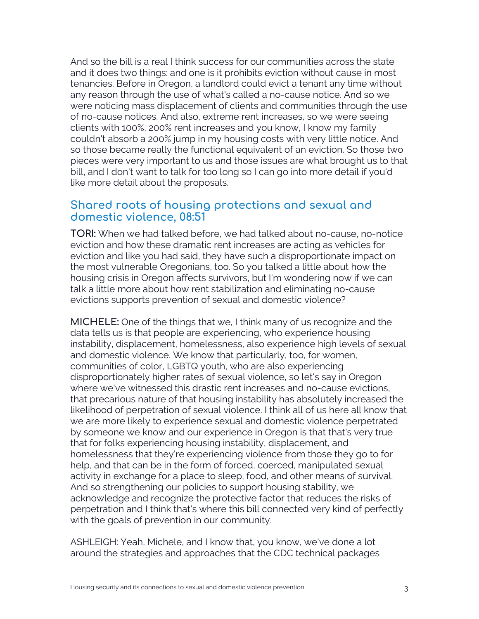And so the bill is a real I think success for our communities across the state and it does two things: and one is it prohibits eviction without cause in most tenancies. Before in Oregon, a landlord could evict a tenant any time without any reason through the use of what's called a no-cause notice. And so we were noticing mass displacement of clients and communities through the use of no-cause notices. And also, extreme rent increases, so we were seeing clients with 100%, 200% rent increases and you know, I know my family couldn't absorb a 200% jump in my housing costs with very little notice. And so those became really the functional equivalent of an eviction. So those two pieces were very important to us and those issues are what brought us to that bill, and I don't want to talk for too long so I can go into more detail if you'd like more detail about the proposals.

## **Shared roots of housing protections and sexual and domestic violence, 08:51**

**TORI:** When we had talked before, we had talked about no-cause, no-notice eviction and how these dramatic rent increases are acting as vehicles for eviction and like you had said, they have such a disproportionate impact on the most vulnerable Oregonians, too. So you talked a little about how the housing crisis in Oregon affects survivors, but I'm wondering now if we can talk a little more about how rent stabilization and eliminating no-cause evictions supports prevention of sexual and domestic violence?

**MICHELE:** One of the things that we, I think many of us recognize and the data tells us is that people are experiencing, who experience housing instability, displacement, homelessness, also experience high levels of sexual and domestic violence. We know that particularly, too, for women, communities of color, LGBTQ youth, who are also experiencing disproportionately higher rates of sexual violence, so let's say in Oregon where we've witnessed this drastic rent increases and no-cause evictions, that precarious nature of that housing instability has absolutely increased the likelihood of perpetration of sexual violence. I think all of us here all know that we are more likely to experience sexual and domestic violence perpetrated by someone we know and our experience in Oregon is that that's very true that for folks experiencing housing instability, displacement, and homelessness that they're experiencing violence from those they go to for help, and that can be in the form of forced, coerced, manipulated sexual activity in exchange for a place to sleep, food, and other means of survival. And so strengthening our policies to support housing stability, we acknowledge and recognize the protective factor that reduces the risks of perpetration and I think that's where this bill connected very kind of perfectly with the goals of prevention in our community.

ASHLEIGH: Yeah, Michele, and I know that, you know, we've done a lot around the strategies and approaches that the CDC technical packages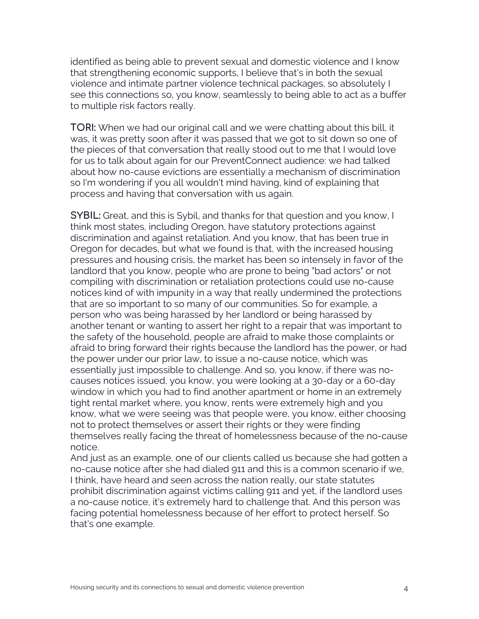identified as being able to prevent sexual and domestic violence and I know that strengthening economic supports, I believe that's in both the sexual violence and intimate partner violence technical packages, so absolutely I see this connections so, you know, seamlessly to being able to act as a buffer to multiple risk factors really.

**TORI:** When we had our original call and we were chatting about this bill, it was, it was pretty soon after it was passed that we got to sit down so one of the pieces of that conversation that really stood out to me that I would love for us to talk about again for our PreventConnect audience: we had talked about how no-cause evictions are essentially a mechanism of discrimination so I'm wondering if you all wouldn't mind having, kind of explaining that process and having that conversation with us again.

**SYBIL:** Great, and this is Sybil, and thanks for that question and you know, I think most states, including Oregon, have statutory protections against discrimination and against retaliation. And you know, that has been true in Oregon for decades, but what we found is that, with the increased housing pressures and housing crisis, the market has been so intensely in favor of the landlord that you know, people who are prone to being "bad actors" or not compiling with discrimination or retaliation protections could use no-cause notices kind of with impunity in a way that really undermined the protections that are so important to so many of our communities. So for example, a person who was being harassed by her landlord or being harassed by another tenant or wanting to assert her right to a repair that was important to the safety of the household, people are afraid to make those complaints or afraid to bring forward their rights because the landlord has the power, or had the power under our prior law, to issue a no-cause notice, which was essentially just impossible to challenge. And so, you know, if there was nocauses notices issued, you know, you were looking at a 30-day or a 60-day window in which you had to find another apartment or home in an extremely tight rental market where, you know, rents were extremely high and you know, what we were seeing was that people were, you know, either choosing not to protect themselves or assert their rights or they were finding themselves really facing the threat of homelessness because of the no-cause notice.

And just as an example, one of our clients called us because she had gotten a no-cause notice after she had dialed 911 and this is a common scenario if we, I think, have heard and seen across the nation really, our state statutes prohibit discrimination against victims calling 911 and yet, if the landlord uses a no-cause notice, it's extremely hard to challenge that. And this person was facing potential homelessness because of her effort to protect herself. So that's one example.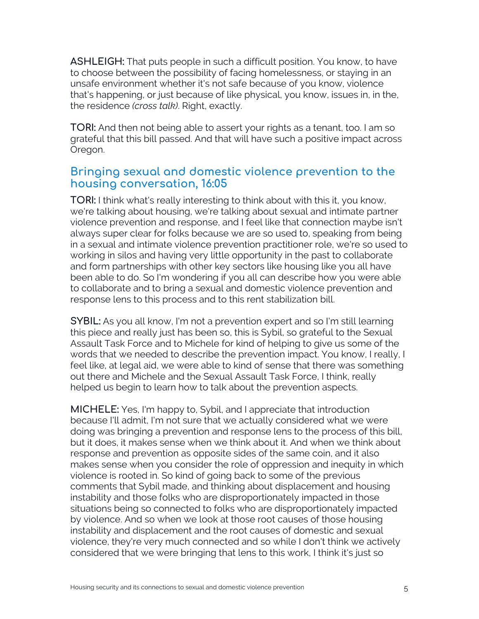**ASHLEIGH:** That puts people in such a difficult position. You know, to have to choose between the possibility of facing homelessness, or staying in an unsafe environment whether it's not safe because of you know, violence that's happening, or just because of like physical, you know, issues in, in the, the residence *(cross talk)*. Right, exactly.

**TORI:** And then not being able to assert your rights as a tenant, too. I am so grateful that this bill passed. And that will have such a positive impact across Oregon.

## **Bringing sexual and domestic violence prevention to the housing conversation, 16:05**

**TORI:** I think what's really interesting to think about with this it, you know, we're talking about housing, we're talking about sexual and intimate partner violence prevention and response, and I feel like that connection maybe isn't always super clear for folks because we are so used to, speaking from being in a sexual and intimate violence prevention practitioner role, we're so used to working in silos and having very little opportunity in the past to collaborate and form partnerships with other key sectors like housing like you all have been able to do. So I'm wondering if you all can describe how you were able to collaborate and to bring a sexual and domestic violence prevention and response lens to this process and to this rent stabilization bill.

**SYBIL:** As you all know, I'm not a prevention expert and so I'm still learning this piece and really just has been so, this is Sybil, so grateful to the Sexual Assault Task Force and to Michele for kind of helping to give us some of the words that we needed to describe the prevention impact. You know, I really, I feel like, at legal aid, we were able to kind of sense that there was something out there and Michele and the Sexual Assault Task Force, I think, really helped us begin to learn how to talk about the prevention aspects.

**MICHELE:** Yes, I'm happy to, Sybil, and I appreciate that introduction because I'll admit, I'm not sure that we actually considered what we were doing was bringing a prevention and response lens to the process of this bill, but it does, it makes sense when we think about it. And when we think about response and prevention as opposite sides of the same coin, and it also makes sense when you consider the role of oppression and inequity in which violence is rooted in. So kind of going back to some of the previous comments that Sybil made, and thinking about displacement and housing instability and those folks who are disproportionately impacted in those situations being so connected to folks who are disproportionately impacted by violence. And so when we look at those root causes of those housing instability and displacement and the root causes of domestic and sexual violence, they're very much connected and so while I don't think we actively considered that we were bringing that lens to this work, I think it's just so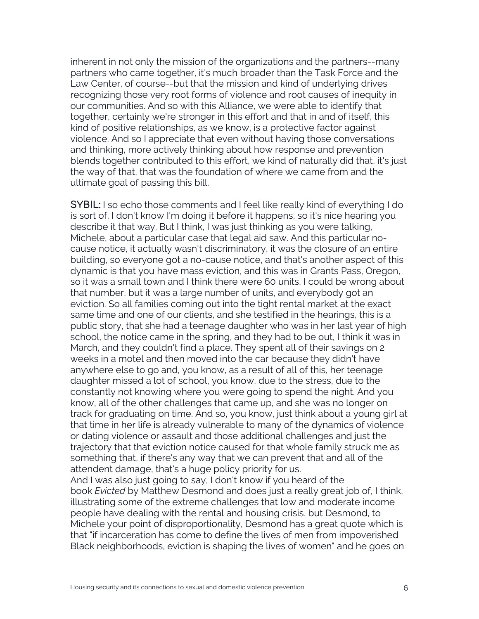inherent in not only the mission of the organizations and the partners--many partners who came together, it's much broader than the Task Force and the Law Center, of course--but that the mission and kind of underlying drives recognizing those very root forms of violence and root causes of inequity in our communities. And so with this Alliance, we were able to identify that together, certainly we're stronger in this effort and that in and of itself, this kind of positive relationships, as we know, is a protective factor against violence. And so I appreciate that even without having those conversations and thinking, more actively thinking about how response and prevention blends together contributed to this effort, we kind of naturally did that, it's just the way of that, that was the foundation of where we came from and the ultimate goal of passing this bill.

**SYBIL:** I so echo those comments and I feel like really kind of everything I do is sort of, I don't know I'm doing it before it happens, so it's nice hearing you describe it that way. But I think, I was just thinking as you were talking, Michele, about a particular case that legal aid saw. And this particular nocause notice, it actually wasn't discriminatory, it was the closure of an entire building, so everyone got a no-cause notice, and that's another aspect of this dynamic is that you have mass eviction, and this was in Grants Pass, Oregon, so it was a small town and I think there were 60 units, I could be wrong about that number, but it was a large number of units, and everybody got an eviction. So all families coming out into the tight rental market at the exact same time and one of our clients, and she testified in the hearings, this is a public story, that she had a teenage daughter who was in her last year of high school, the notice came in the spring, and they had to be out, I think it was in March, and they couldn't find a place. They spent all of their savings on 2 weeks in a motel and then moved into the car because they didn't have anywhere else to go and, you know, as a result of all of this, her teenage daughter missed a lot of school, you know, due to the stress, due to the constantly not knowing where you were going to spend the night. And you know, all of the other challenges that came up, and she was no longer on track for graduating on time. And so, you know, just think about a young girl at that time in her life is already vulnerable to many of the dynamics of violence or dating violence or assault and those additional challenges and just the trajectory that that eviction notice caused for that whole family struck me as something that, if there's any way that we can prevent that and all of the attendent damage, that's a huge policy priority for us. And I was also just going to say, I don't know if you heard of the book *Evicted* by Matthew Desmond and does just a really great job of, I think,

illustrating some of the extreme challenges that low and moderate income people have dealing with the rental and housing crisis, but Desmond, to Michele your point of disproportionality, Desmond has a great quote which is that "if incarceration has come to define the lives of men from impoverished Black neighborhoods, eviction is shaping the lives of women" and he goes on